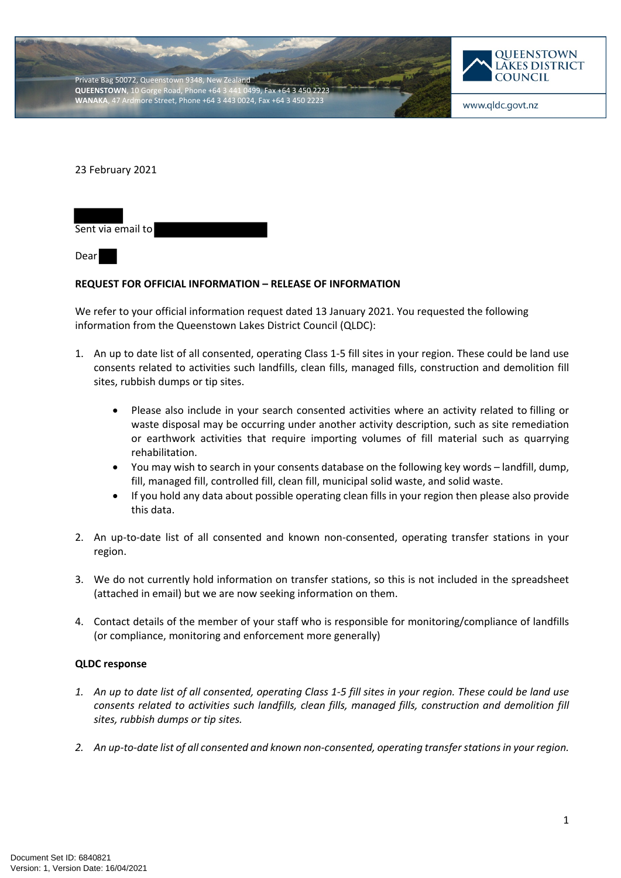



www.qldc.govt.nz

23 February 2021



Dear

## **REQUEST FOR OFFICIAL INFORMATION – RELEASE OF INFORMATION**

We refer to your official information request dated 13 January 2021. You requested the following information from the Queenstown Lakes District Council (QLDC):

- 1. An up to date list of all consented, operating Class 1-5 fill sites in your region. These could be land use consents related to activities such landfills, clean fills, managed fills, construction and demolition fill sites, rubbish dumps or tip sites.
	- Please also include in your search consented activities where an activity related to filling or waste disposal may be occurring under another activity description, such as site remediation or earthwork activities that require importing volumes of fill material such as quarrying rehabilitation.
	- You may wish to search in your consents database on the following key words landfill, dump, fill, managed fill, controlled fill, clean fill, municipal solid waste, and solid waste.
	- If you hold any data about possible operating clean fills in your region then please also provide this data.
- 2. An up-to-date list of all consented and known non-consented, operating transfer stations in your region.
- 3. We do not currently hold information on transfer stations, so this is not included in the spreadsheet (attached in email) but we are now seeking information on them.
- 4. Contact details of the member of your staff who is responsible for monitoring/compliance of landfills (or compliance, monitoring and enforcement more generally)

## **QLDC response**

- *1. An up to date list of all consented, operating Class 1-5 fill sites in your region. These could be land use consents related to activities such landfills, clean fills, managed fills, construction and demolition fill sites, rubbish dumps or tip sites.*
- *2. An up-to-date list of all consented and known non-consented, operating transfer stations in your region.*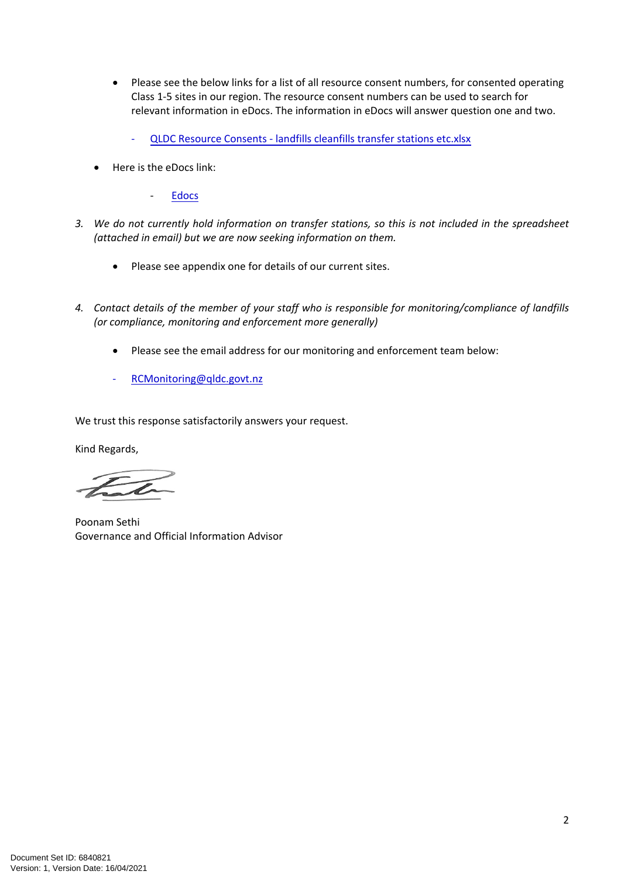- Please see the below links for a list of all resource consent numbers, for consented operating Class 1-5 sites in our region. The resource consent numbers can be used to search for relevant information in eDocs. The information in eDocs will answer question one and two.
	- - [QLDC Resource Consents landfills cleanfills transfer stations etc.xlsx](https://qldc.t1cloud.com/T1Default/CiAnywhere/Web/QLDC/ECMCore/BulkAction/Get/fcce51cd-6076-4264-833c-24523af96a17)
- Here is the eDocs link:
	- [Edocs](https://edocs.qldc.govt.nz/)
- *3. We do not currently hold information on transfer stations, so this is not included in the spreadsheet (attached in email) but we are now seeking information on them.*
	- Please see appendix one for details of our current sites.
- *4. Contact details of the member of your staff who is responsible for monitoring/compliance of landfills (or compliance, monitoring and enforcement more generally)*
	- Please see the email address for our monitoring and enforcement team below:
	- RCMonitoring@qldc.govt.nz

We trust this response satisfactorily answers your request.

Kind Regards,

Poonam Sethi Governance and Official Information Advisor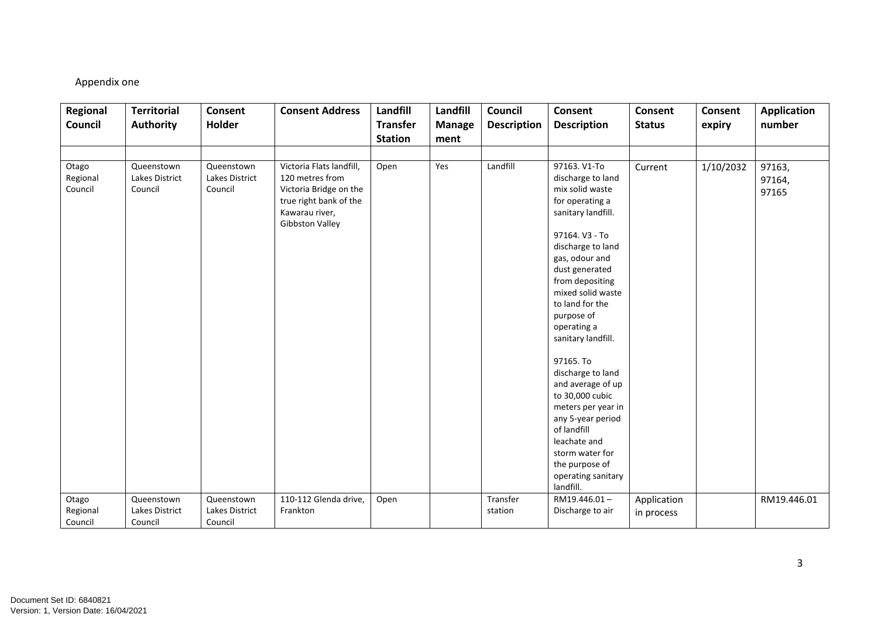## Appendix one

| Regional                     | <b>Territorial</b>                      | Consent                                 | <b>Consent Address</b>                                                                                                               | Landfill        | Landfill      | Council            | <b>Consent</b>                                                                                                                                                                                                                                                                                                                                                                                                                                                                                        | Consent       | Consent   | <b>Application</b>        |
|------------------------------|-----------------------------------------|-----------------------------------------|--------------------------------------------------------------------------------------------------------------------------------------|-----------------|---------------|--------------------|-------------------------------------------------------------------------------------------------------------------------------------------------------------------------------------------------------------------------------------------------------------------------------------------------------------------------------------------------------------------------------------------------------------------------------------------------------------------------------------------------------|---------------|-----------|---------------------------|
| Council                      | <b>Authority</b>                        | Holder                                  |                                                                                                                                      | <b>Transfer</b> | <b>Manage</b> | <b>Description</b> | <b>Description</b>                                                                                                                                                                                                                                                                                                                                                                                                                                                                                    | <b>Status</b> | expiry    | number                    |
|                              |                                         |                                         |                                                                                                                                      | <b>Station</b>  | ment          |                    |                                                                                                                                                                                                                                                                                                                                                                                                                                                                                                       |               |           |                           |
|                              |                                         |                                         |                                                                                                                                      |                 |               |                    |                                                                                                                                                                                                                                                                                                                                                                                                                                                                                                       |               |           |                           |
| Otago<br>Regional<br>Council | Queenstown<br>Lakes District<br>Council | Queenstown<br>Lakes District<br>Council | Victoria Flats landfill,<br>120 metres from<br>Victoria Bridge on the<br>true right bank of the<br>Kawarau river,<br>Gibbston Valley | Open            | Yes           | Landfill           | 97163. V1-To<br>discharge to land<br>mix solid waste<br>for operating a<br>sanitary landfill.<br>97164. V3 - To<br>discharge to land<br>gas, odour and<br>dust generated<br>from depositing<br>mixed solid waste<br>to land for the<br>purpose of<br>operating a<br>sanitary landfill.<br>97165. To<br>discharge to land<br>and average of up<br>to 30,000 cubic<br>meters per year in<br>any 5-year period<br>of landfill<br>leachate and<br>storm water for<br>the purpose of<br>operating sanitary | Current       | 1/10/2032 | 97163,<br>97164,<br>97165 |
| Otago                        | Queenstown                              | Queenstown                              | 110-112 Glenda drive,                                                                                                                | Open            |               | Transfer           | landfill.<br>RM19.446.01-                                                                                                                                                                                                                                                                                                                                                                                                                                                                             |               |           |                           |
| Regional                     | Lakes District                          | Lakes District                          | Frankton                                                                                                                             |                 |               | station            | Discharge to air                                                                                                                                                                                                                                                                                                                                                                                                                                                                                      | Application   |           | RM19.446.01               |
| Council                      | Council                                 | Council                                 |                                                                                                                                      |                 |               |                    |                                                                                                                                                                                                                                                                                                                                                                                                                                                                                                       | in process    |           |                           |